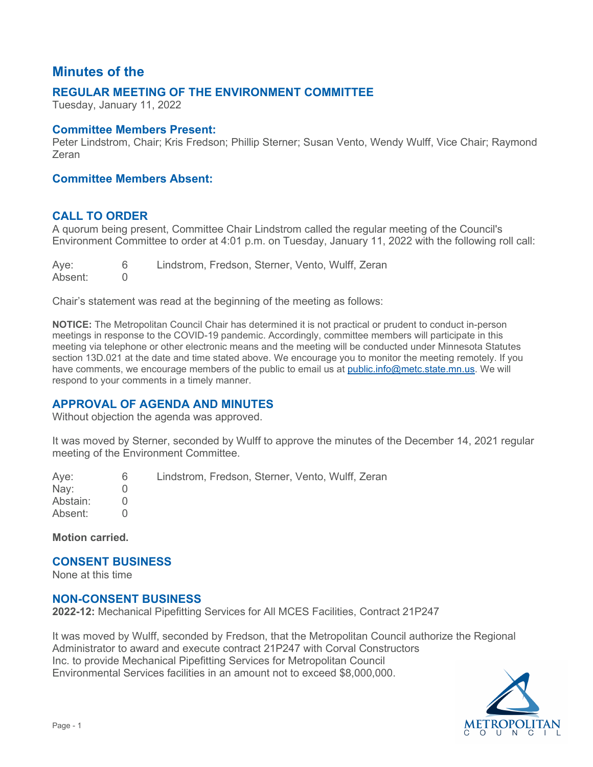# **Minutes of the**

# **REGULAR MEETING OF THE ENVIRONMENT COMMITTEE**

Tuesday, January 11, 2022

#### **Committee Members Present:**

Peter Lindstrom, Chair; Kris Fredson; Phillip Sterner; Susan Vento, Wendy Wulff, Vice Chair; Raymond Zeran

### **Committee Members Absent:**

# **CALL TO ORDER**

 A quorum being present, Committee Chair Lindstrom called the regular meeting of the Council's Environment Committee to order at 4:01 p.m. on Tuesday, January 11, 2022 with the following roll call:

Ave: 6 Lindstrom, Fredson, Sterner, Vento, Wulff, Zeran<br>0 Absent:

Chair's statement was read at the beginning of the meeting as follows:

 section 13D.021 at the date and time stated above. We encourage you to monitor the meeting remotely. If you respond to your comments in a timely manner. **NOTICE:** The Metropolitan Council Chair has determined it is not practical or prudent to conduct in-person meetings in response to the COVID-19 pandemic. Accordingly, committee members will participate in this meeting via telephone or other electronic means and the meeting will be conducted under Minnesota Statutes have comments, we encourage members of the public to email us at [public.info@metc.state.mn.us.](mailto:public.info@metc.state.mn.us) We will

# **APPROVAL OF AGENDA AND MINUTES**

Without objection the agenda was approved.

 It was moved by Sterner, seconded by Wulff to approve the minutes of the December 14, 2021 regular meeting of the Environment Committee.

Ave: Aye: 6<br>Nay: 0 Abstain: 0  $\begin{matrix}0\\0\end{matrix}$ Lindstrom, Fredson, Sterner, Vento, Wulff, Zeran Absent: 0

**Motion carried.** 

#### **CONSENT BUSINESS**

None at this time

#### **NON-CONSENT BUSINESS**

**2022-12:** Mechanical Pipefitting Services for All MCES Facilities, Contract 21P247

 It was moved by Wulff, seconded by Fredson, that the Metropolitan Council authorize the Regional Administrator to award and execute contract 21P247 with Corval Constructors Inc. to provide Mechanical Pipefitting Services for Metropolitan Council Environmental Services facilities in an amount not to exceed \$8,000,000.

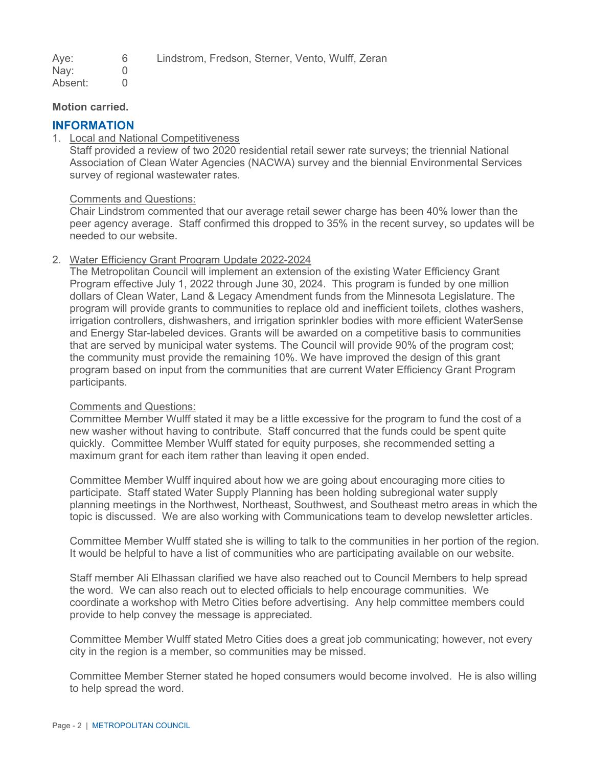| Aye: | Lindstrom, Fredson, Sterner, Vento, Wulff, Zeran |  |  |  |
|------|--------------------------------------------------|--|--|--|
| Nay: |                                                  |  |  |  |

inay: Absent: 0

#### **Motion carried.**

# **INFORMATION**

1. Local and National Competitiveness

Staff provided a review of two 2020 residential retail sewer rate surveys; the triennial National Association of Clean Water Agencies (NACWA) survey and the biennial Environmental Services survey of regional wastewater rates.

#### Comments and Questions:

 peer agency average. Staff confirmed this dropped to 35% in the recent survey, so updates will be Chair Lindstrom commented that our average retail sewer charge has been 40% lower than the needed to our website.

# 2. Water Efficiency Grant Program Update 2022-2024

 Program effective July 1, 2022 through June 30, 2024. This program is funded by one million dollars of Clean Water, Land & Legacy Amendment funds from the Minnesota Legislature. The and Energy Star-labeled devices. Grants will be awarded on a competitive basis to communities that are served by municipal water systems. The Council will provide 90% of the program cost; program based on input from the communities that are current Water Efficiency Grant Program participants. The Metropolitan Council will implement an extension of the existing Water Efficiency Grant program will provide grants to communities to replace old and inefficient toilets, clothes washers, irrigation controllers, dishwashers, and irrigation sprinkler bodies with more efficient WaterSense the community must provide the remaining 10%. We have improved the design of this grant

#### Comments and Questions:

 Committee Member Wulff stated it may be a little excessive for the program to fund the cost of a new washer without having to contribute. Staff concurred that the funds could be spent quite quickly. Committee Member Wulff stated for equity purposes, she recommended setting a maximum grant for each item rather than leaving it open ended.

 topic is discussed. We are also working with Communications team to develop newsletter articles. Committee Member Wulff inquired about how we are going about encouraging more cities to participate. Staff stated Water Supply Planning has been holding subregional water supply planning meetings in the Northwest, Northeast, Southwest, and Southeast metro areas in which the

Committee Member Wulff stated she is willing to talk to the communities in her portion of the region. It would be helpful to have a list of communities who are participating available on our website.

 Staff member Ali Elhassan clarified we have also reached out to Council Members to help spread the word. We can also reach out to elected officials to help encourage communities. We coordinate a workshop with Metro Cities before advertising. Any help committee members could provide to help convey the message is appreciated.

Committee Member Wulff stated Metro Cities does a great job communicating; however, not every city in the region is a member, so communities may be missed.

 Committee Member Sterner stated he hoped consumers would become involved. He is also willing to help spread the word.